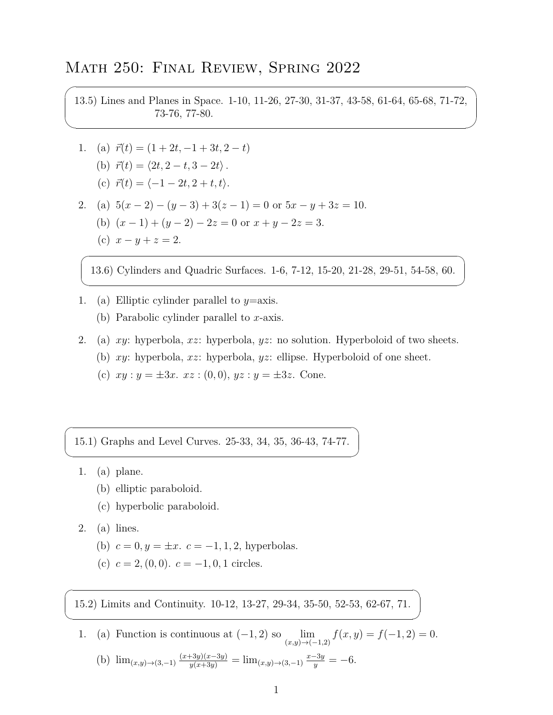## Math 250: Final Review, Spring 2022

13.5) Lines and Planes in Space. 1-10, 11-26, 27-30, 31-37, 43-58, 61-64, 65-68, 71-72, 73-76, 77-80.

- 1. (a)  $\vec{r}(t) = (1 + 2t, -1 + 3t, 2 t)$ 
	- $\langle (b) \ \vec{r}(t) = \langle 2t, 2-t, 3-2t \rangle$ .
	- $\vec{r}(t) = \langle -1 2t, 2 + t, t \rangle.$
- 2. (a)  $5(x-2) (y-3) + 3(z-1) = 0$  or  $5x y + 3z = 10$ . (b)  $(x-1) + (y-2) - 2z = 0$  or  $x + y - 2z = 3$ .
	- (c)  $x y + z = 2$ .

 $\overline{\phantom{0}}$ 

✖

 $\overline{a}$ 

✍

 $\sqrt{2}$ 

✍

 $\overline{a}$ 

✍

13.6) Cylinders and Quadric Surfaces. 1-6, 7-12, 15-20, 21-28, 29-51, 54-58, 60.

- 1. (a) Elliptic cylinder parallel to *y*=axis.
	- (b) Parabolic cylinder parallel to *x*-axis.
- 2. (a) *xy*: hyperbola, *xz*: hyperbola, *yz*: no solution. Hyperboloid of two sheets.
	- (b) *xy*: hyperbola, *xz*: hyperbola, *yz*: ellipse. Hyperboloid of one sheet.
	- (c)  $xy : y = \pm 3x$ .  $xz : (0,0), yz : y = \pm 3z$ . Cone.

15.1) Graphs and Level Curves. 25-33, 34, 35, 36-43, 74-77.

- 1. (a) plane.
	- (b) elliptic paraboloid.
	- (c) hyperbolic paraboloid.
- 2. (a) lines.
	- (b)  $c = 0, y = \pm x$ .  $c = -1, 1, 2$ , hyperbolas.
	- (c)  $c = 2$ , (0, 0).  $c = -1, 0, 1$  circles.

15.2) Limits and Continuity. 10-12, 13-27, 29-34, 35-50, 52-53, 62-67, 71.

1. (a) Function is continuous at  $(-1, 2)$  so  $\lim_{(x,y)\to(-1,2)} f(x, y) = f(-1, 2) = 0$ . (b)  $\lim_{(x,y)\to(3,-1)} \frac{(x+3y)(x-3y)}{y(x+3y)} = \lim_{(x,y)\to(3,-1)} \frac{x-3y}{y} = -6.$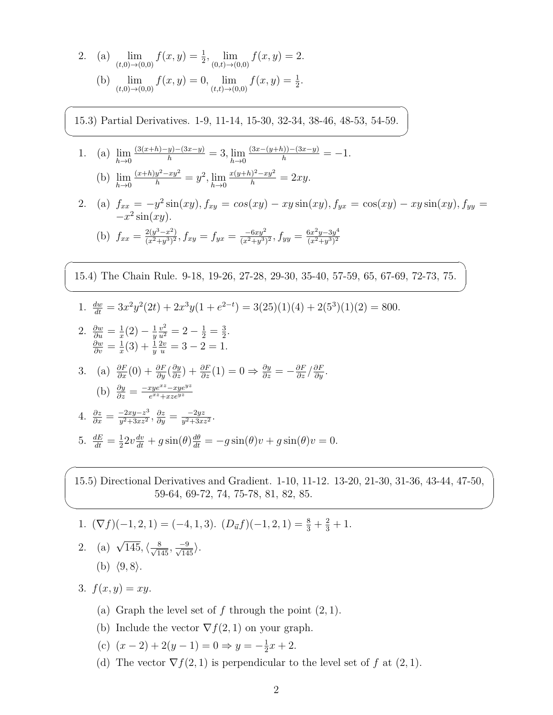2. (a) 
$$
\lim_{(t,0)\to(0,0)} f(x,y) = \frac{1}{2}, \lim_{(0,t)\to(0,0)} f(x,y) = 2.
$$
  
\n(b)  $\lim_{(t,0)\to(0,0)} f(x,y) = 0, \lim_{(t,t)\to(0,0)} f(x,y) = \frac{1}{2}.$ 

 $\sqrt{2}$ 

✍

 $\overline{\phantom{0}}$ 

✍

 $\overline{\phantom{0}}$ 

✖

15.3) Partial Derivatives. 1-9, 11-14, 15-30, 32-34, 38-46, 48-53, 54-59.

- 1. (a) lim *h→*0  $\frac{(3(x+h)-y)-(3x-y)}{h} = 3, \lim_{h\to 0}$  $\frac{(3x-(y+h))-(3x-y)}{h} = -1.$ (b) lim  $\frac{(x+h)y^2 - xy^2}{h} = y^2$ ,  $\lim_{h \to 0}$  $\frac{x(y+h)^2 - xy^2}{h} = 2xy.$
- *h→*0 *h→*0
- 2. (a)  $f_{xx} = -y^2 \sin(xy), f_{xy} = \cos(xy) xy \sin(xy), f_{yx} = \cos(xy) xy \sin(xy), f_{yy} =$ *−x* 2 sin(*xy*)*.* (b)  $f_{xx} = \frac{2(y^3 - x^2)}{(x^2 + y^3)^2}$  $\frac{2(y^3-x^2)}{(x^2+y^3)^2}$ ,  $f_{xy}=f_{yx}=\frac{-6xy^2}{(x^2+y^3)^2}$ ,  $f_{yy}=\frac{6x^2y-3y^4}{(x^2+y^3)^2}$  $(x^2+y^3)^2$
- 15.4) The Chain Rule. 9-18, 19-26, 27-28, 29-30, 35-40, 57-59, 65, 67-69, 72-73, 75.
- 1.  $\frac{dw}{dt} = 3x^2y^2(2t) + 2x^3y(1 + e^{2-t}) = 3(25)(1)(4) + 2(5^3)(1)(2) = 800.$
- 2.  $\frac{\partial w}{\partial u} = \frac{1}{x}$  $\frac{1}{x}(2) - \frac{1}{y}$ *y*  $\frac{v^2}{u^2} = 2 - \frac{1}{2} = \frac{3}{2}$  $\frac{3}{2}$ .  $\frac{\partial w}{\partial v} = \frac{1}{x}$  $\frac{1}{x}(3) + \frac{1}{y}$  $\frac{2v}{u} = 3 - 2 = 1.$
- 3. (a)  $\frac{\partial F}{\partial x}(0) + \frac{\partial F}{\partial y}(\frac{\partial y}{\partial z}) + \frac{\partial F}{\partial z}(1) = 0 \Rightarrow \frac{\partial y}{\partial z} = -\frac{\partial F}{\partial z}/\frac{\partial F}{\partial y}.$  $\left(\mathrm{b}\right) \frac{\partial y}{\partial z} = \frac{-xye^{xz} - xye^{yz}}{e^{xz} + xze^{yz}}$
- 4.  $\frac{\partial z}{\partial x} = \frac{-2xy z^3}{y^2 + 3xz^2}$  $\frac{-2xy-z^3}{y^2+3xz^2}$ ,  $\frac{\partial z}{\partial y} = \frac{-2yz}{y^2+3xz^2}$ . 5.  $\frac{dE}{dt} = \frac{1}{2}$  $\frac{1}{2}2v\frac{dv}{dt} + g\sin(\theta)\frac{d\theta}{dt} = -g\sin(\theta)v + g\sin(\theta)v = 0.$

15.5) Directional Derivatives and Gradient. 1-10, 11-12. 13-20, 21-30, 31-36, 43-44, 47-50, 59-64, 69-72, 74, 75-78, 81, 82, 85.

- 1.  $(\nabla f)(-1, 2, 1) = (-4, 1, 3).$   $(D_{\vec{u}}f)(-1, 2, 1) = \frac{8}{3} + \frac{2}{3} + 1.$
- 2. (a)  $\sqrt{145}$ ,  $\langle \frac{8}{\sqrt{145}}, \frac{-9}{\sqrt{145}} \rangle$ . (b)  $\langle 9, 8 \rangle$ .

3.  $f(x, y) = xy$ .

- (a) Graph the level set of  $f$  through the point  $(2, 1)$ .
- (b) Include the vector  $\nabla f(2,1)$  on your graph.
- (c)  $(x 2) + 2(y 1) = 0 \Rightarrow y = -\frac{1}{2}$  $\frac{1}{2}x + 2$ .
- (d) The vector  $\nabla f(2,1)$  is perpendicular to the level set of *f* at  $(2,1)$ .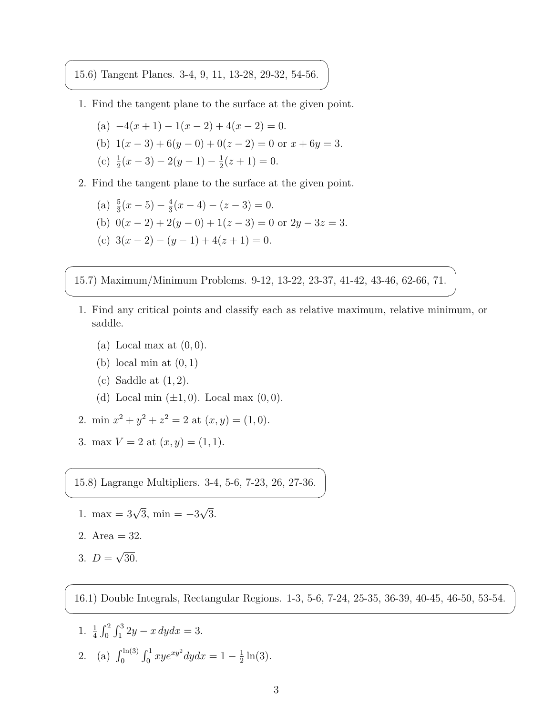15.6) Tangent Planes. 3-4, 9, 11, 13-28, 29-32, 54-56.

 $\overline{\phantom{0}}$ 

✍

 $\overline{\phantom{0}}$ 

✍

 $\overline{a}$ 

✍

 $\overline{a}$ 

✍

- 1. Find the tangent plane to the surface at the given point.
	- $(a) -4(x+1) 1(x-2) + 4(x-2) = 0.$
	- (b)  $1(x-3) + 6(y-0) + 0(z-2) = 0$  or  $x + 6y = 3$ .
	- (c)  $\frac{1}{2}(x-3) 2(y-1) \frac{1}{2}$  $\frac{1}{2}(z+1)=0.$
- 2. Find the tangent plane to the surface at the given point.

(a) 
$$
\frac{5}{3}(x-5) - \frac{4}{3}(x-4) - (z-3) = 0
$$
.  
\n(b)  $0(x-2) + 2(y-0) + 1(z-3) = 0$  or  $2y - 3z = 3$ .  
\n(c)  $3(x-2) - (y-1) + 4(z+1) = 0$ .

15.7) Maximum/Minimum Problems. 9-12, 13-22, 23-37, 41-42, 43-46, 62-66, 71.

- 1. Find any critical points and classify each as relative maximum, relative minimum, or saddle.
	- (a) Local max at (0*,* 0).
	- (b) local min at (0*,* 1)
	- (c) Saddle at (1*,* 2).
	- (d) Local min  $(\pm 1, 0)$ . Local max  $(0, 0)$ .
- 2. min  $x^2 + y^2 + z^2 = 2$  at  $(x, y) = (1, 0)$ .
- 3. max  $V = 2$  at  $(x, y) = (1, 1)$ .

15.8) Lagrange Multipliers. 3-4, 5-6, 7-23, 26, 27-36.

- 1. max =  $3\sqrt{3}$ , min =  $-3\sqrt{3}$ .
- 2. Area  $= 32$ .
- 3.  $D = \sqrt{30}$ .

16.1) Double Integrals, Rectangular Regions. 1-3, 5-6, 7-24, 25-35, 36-39, 40-45, 46-50, 53-54.

1.  $\frac{1}{4} \int_0^2 \int_1^3 2y - x \, dy dx = 3.$ 2. (a)  $\int_0^{\ln(3)} \int_0^1 x y e^{xy^2} dy dx = 1 - \frac{1}{2}$  $\frac{1}{2} \ln(3)$ .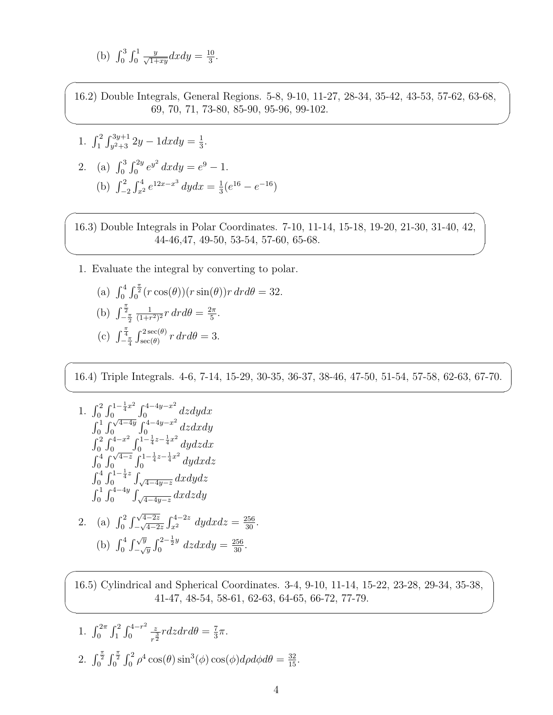(b) 
$$
\int_0^3 \int_0^1 \frac{y}{\sqrt{1+xy}} dx dy = \frac{10}{3}
$$
.

 $\overline{\phantom{0}}$ 

✖

 $\overline{\phantom{0}}$ 

 $\searrow$ 

 $\sqrt{2}$ 

✍

 $\overline{\phantom{0}}$ 

✖

16.2) Double Integrals, General Regions. 5-8, 9-10, 11-27, 28-34, 35-42, 43-53, 57-62, 63-68, 69, 70, 71, 73-80, 85-90, 95-96, 99-102.

1. 
$$
\int_{1}^{2} \int_{y^{2}+3}^{3y+1} 2y - 1 dx dy = \frac{1}{3}.
$$
  
2. (a) 
$$
\int_{0}^{3} \int_{0}^{2y} e^{y^{2}} dx dy = e^{9} - 1.
$$
  
(b) 
$$
\int_{-2}^{2} \int_{x^{2}}^{4} e^{12x - x^{3}} dy dx = \frac{1}{3} (e^{16} - e^{-16})
$$

16.3) Double Integrals in Polar Coordinates. 7-10, 11-14, 15-18, 19-20, 21-30, 31-40, 42, 44-46,47, 49-50, 53-54, 57-60, 65-68.

1. Evaluate the integral by converting to polar.

(a) 
$$
\int_0^4 \int_0^{\frac{\pi}{2}} (r \cos(\theta)) (r \sin(\theta)) r dr d\theta = 32.
$$
  
\n(b) 
$$
\int_{-\frac{\pi}{2}}^{\frac{\pi}{2}} \frac{1}{(1+r^2)^2} r dr d\theta = \frac{2\pi}{5}.
$$
  
\n(c) 
$$
\int_{-\frac{\pi}{4}}^{\frac{\pi}{4}} \int_{\sec(\theta)}^{2\sec(\theta)} r dr d\theta = 3.
$$

16.4) Triple Integrals. 4-6, 7-14, 15-29, 30-35, 36-37, 38-46, 47-50, 51-54, 57-58, 62-63, 67-70.

1. 
$$
\int_{0}^{2} \int_{0}^{1-\frac{1}{4}x^{2}} \int_{0}^{4-4y-x^{2}} dz dy dx
$$
  
\n
$$
\int_{0}^{1} \int_{0}^{\sqrt{4-4y}} \int_{0}^{4-4y-x^{2}} dz dx dy
$$
  
\n
$$
\int_{0}^{2} \int_{0}^{4-x^{2}} \int_{0}^{1-\frac{1}{4}z-\frac{1}{4}x^{2}} dy dz dx
$$
  
\n
$$
\int_{0}^{4} \int_{0}^{\sqrt{4-z}} \int_{0}^{1-\frac{1}{4}z-\frac{1}{4}x^{2}} dy dx dz
$$
  
\n
$$
\int_{0}^{4} \int_{0}^{1-\frac{1}{4}z} \int_{\sqrt{4-4y-z}} dx dy dz
$$
  
\n2. (a) 
$$
\int_{0}^{2} \int_{-\sqrt{4-2z}}^{\sqrt{4-2z}} \int_{x^{2}}^{4-2z} dy dx dz = \frac{256}{30}.
$$
  
\n(b) 
$$
\int_{0}^{4} \int_{-\sqrt{y}}^{\sqrt{y}} \int_{0}^{2-\frac{1}{2}y} dz dx dy = \frac{256}{30}.
$$

16.5) Cylindrical and Spherical Coordinates. 3-4, 9-10, 11-14, 15-22, 23-28, 29-34, 35-38, 41-47, 48-54, 58-61, 62-63, 64-65, 66-72, 77-79.

1. 
$$
\int_0^{2\pi} \int_1^2 \int_0^{4-r^2} \frac{z}{r^{\frac{3}{2}}} r dz dr d\theta = \frac{7}{3}\pi.
$$
  
2. 
$$
\int_0^{\frac{\pi}{2}} \int_0^{\frac{\pi}{2}} \int_0^2 \rho^4 \cos(\theta) \sin^3(\phi) \cos(\phi) d\rho d\phi d\theta = \frac{32}{15}.
$$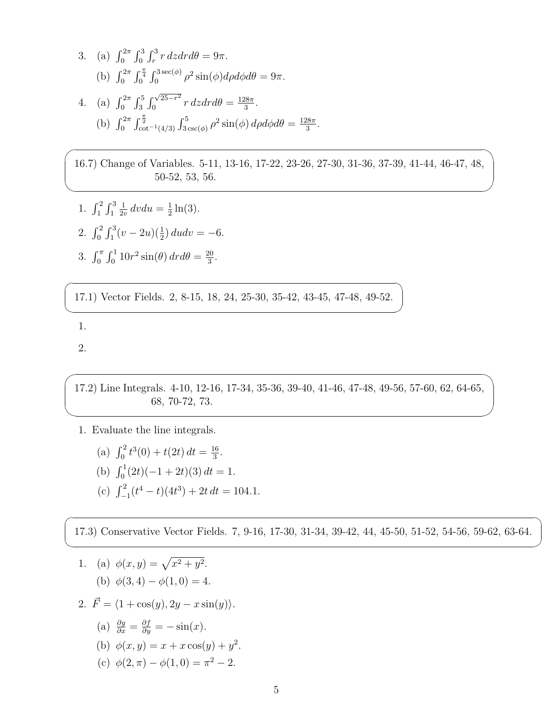3. (a) 
$$
\int_0^{2\pi} \int_0^3 \int_r^3 r \, dz dr d\theta = 9\pi
$$
.  
\n(b)  $\int_0^{2\pi} \int_0^{\frac{\pi}{4}} \int_0^{3\sec(\phi)} \rho^2 \sin(\phi) d\rho d\phi d\theta = 9\pi$ .  
\n4. (a)  $\int_0^{2\pi} \int_3^5 \int_0^{\sqrt{25-r^2}} r \, dz dr d\theta = \frac{128\pi}{3}$ .  
\n(b)  $\int_0^{2\pi} \int_{\cot^{-1}(4/3)}^{\frac{\pi}{2}} \int_{3\csc(\phi)}^{5} \rho^2 \sin(\phi) d\rho d\phi d\theta = \frac{128\pi}{3}$ .

16.7) Change of Variables. 5-11, 13-16, 17-22, 23-26, 27-30, 31-36, 37-39, 41-44, 46-47, 48, 50-52, 53, 56.

1. 
$$
\int_1^2 \int_1^3 \frac{1}{2v} dv du = \frac{1}{2} \ln(3).
$$
  
2. 
$$
\int_0^2 \int_1^3 (v - 2u)(\frac{1}{2}) du dv =
$$

3. 
$$
\int_0^{\pi} \int_0^1 10r^2 \sin(\theta) dr d\theta = \frac{20}{3}.
$$

17.1) Vector Fields. 2, 8-15, 18, 24, 25-30, 35-42, 43-45, 47-48, 49-52.

) *dudv* = *−*6*.*

1.

 $\sqrt{2}$ 

✍

 $\overline{\phantom{0}}$ 

 $\overbrace{\phantom{aaaa}}$ 

2.

 $\overline{\phantom{0}}$ 

 $\searrow$ 

 $\overline{a}$ 

✍

17.2) Line Integrals. 4-10, 12-16, 17-34, 35-36, 39-40, 41-46, 47-48, 49-56, 57-60, 62, 64-65, 68, 70-72, 73.

1. Evaluate the line integrals.

(a) 
$$
\int_0^2 t^3(0) + t(2t) dt = \frac{16}{3}
$$
.

(b) 
$$
\int_0^1 (2t)(-1+2t)(3) dt = 1.
$$

(c)  $\int_{-1}^{2} (t^4 - t)(4t^3) + 2t \, dt = 104.1.$ 

17.3) Conservative Vector Fields. 7, 9-16, 17-30, 31-34, 39-42, 44, 45-50, 51-52, 54-56, 59-62, 63-64.

1. (a)  $\phi(x, y) = \sqrt{x^2 + y^2}$ . (b)  $\phi(3,4) - \phi(1,0) = 4.$ 

2. 
$$
\vec{F} = \langle 1 + \cos(y), 2y - x \sin(y) \rangle.
$$

(a) 
$$
\frac{\partial g}{\partial x} = \frac{\partial f}{\partial y} = -\sin(x)
$$
.

(b) 
$$
\phi(x, y) = x + x \cos(y) + y^2
$$
.

(c)  $\phi(2,\pi) - \phi(1,0) = \pi^2 - 2.$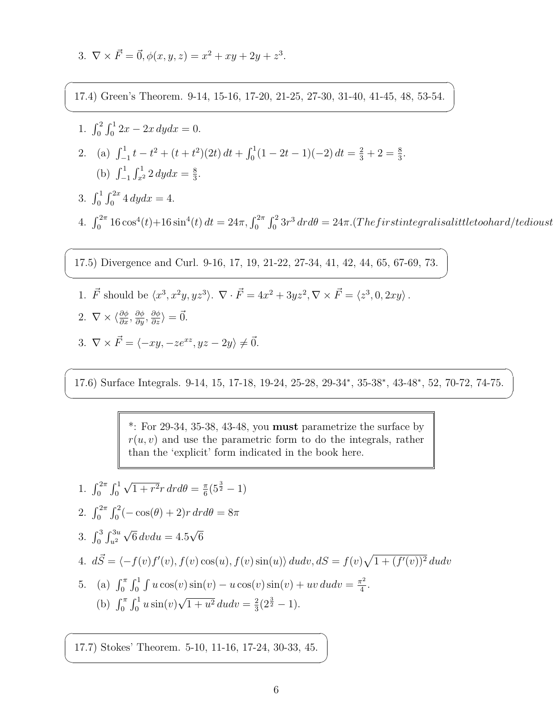3. 
$$
\nabla \times \vec{F} = \vec{0}, \phi(x, y, z) = x^2 + xy + 2y + z^3.
$$

17.4) Green's Theorem. 9-14, 15-16, 17-20, 21-25, 27-30, 31-40, 41-45, 48, 53-54.

1. 
$$
\int_0^2 \int_0^1 2x - 2x \, dy dx = 0.
$$
  
2. (a) 
$$
\int_{-1}^1 t - t^2 + (t + t^2)(2t) \, dt + \int_0^1 (1 - 2t - 1)(-2) \, dt = \frac{2}{3} + 2 = \frac{8}{3}.
$$
  
(b) 
$$
\int_{-1}^1 \int_{x^2}^1 2 \, dy dx = \frac{8}{3}.
$$

3.  $\int_0^1 \int_0^{2x} 4 \, dy dx = 4.$ 

 $\overline{a}$ 

✍

 $\sqrt{2}$ 

✍

 $\sqrt{2}$ 

✍

 $\overline{a}$ 

✍

 $4. \int_0^{2\pi} 16\cos^4(t) + 16\sin^4(t) dt = 24\pi, \int_0^{2\pi} \int_0^2 3r^3 dr d\theta = 24\pi. (The first integral is a little too hard/tedious to the same context).$ 

*.*

17.5) Divergence and Curl. 9-16, 17, 19, 21-22, 27-34, 41, 42, 44, 65, 67-69, 73.

- 1.  $\vec{F}$  should be  $\langle x^3, x^2y, yz^3 \rangle$ .  $\nabla \cdot \vec{F} = 4x^2 + 3yz^2, \nabla \times \vec{F} = \langle z^3, 0, 2xy \rangle$ . 2.  $\nabla \times \langle \frac{\partial \phi}{\partial x}, \frac{\partial \phi}{\partial y}, \frac{\partial \phi}{\partial z} \rangle = \vec{0}.$
- 3.  $\nabla \times \vec{F} = \langle -xy, -ze^{xz}, yz 2y \rangle \neq \vec{0}$ .

17.6) Surface Integrals. 9-14, 15, 17-18, 19-24, 25-28, 29-34*<sup>∗</sup>* , 35-38*<sup>∗</sup>* , 43-48*<sup>∗</sup>* , 52, 70-72, 74-75.

\*: For 29-34, 35-38, 43-48, you **must** parametrize the surface by  $r(u, v)$  and use the parametric form to do the integrals, rather than the 'explicit' form indicated in the book here.

1. 
$$
\int_0^{2\pi} \int_0^1 \sqrt{1 + r^2} r dr d\theta = \frac{\pi}{6} (5^{\frac{3}{2}} - 1)
$$
  
\n2. 
$$
\int_0^{2\pi} \int_0^2 (-\cos(\theta) + 2) r dr d\theta = 8\pi
$$
  
\n3. 
$$
\int_0^3 \int_{u^2}^{3u} \sqrt{6} dv du = 4.5\sqrt{6}
$$
  
\n4. 
$$
d\vec{S} = \langle -f(v)f'(v), f(v) \cos(u), f(v) \sin(u) \rangle du dv, dS = f(v)\sqrt{1 + (f'(v))^2} du dv
$$
  
\n5. (a) 
$$
\int_0^{\pi} \int_0^1 \int u \cos(v) \sin(v) - u \cos(v) \sin(v) + uv du dv = \frac{\pi^2}{4}.
$$
  
\n(b) 
$$
\int_0^{\pi} \int_0^1 u \sin(v) \sqrt{1 + u^2} du dv = \frac{2}{3} (2^{\frac{3}{2}} - 1).
$$

17.7) Stokes' Theorem. 5-10, 11-16, 17-24, 30-33, 45.